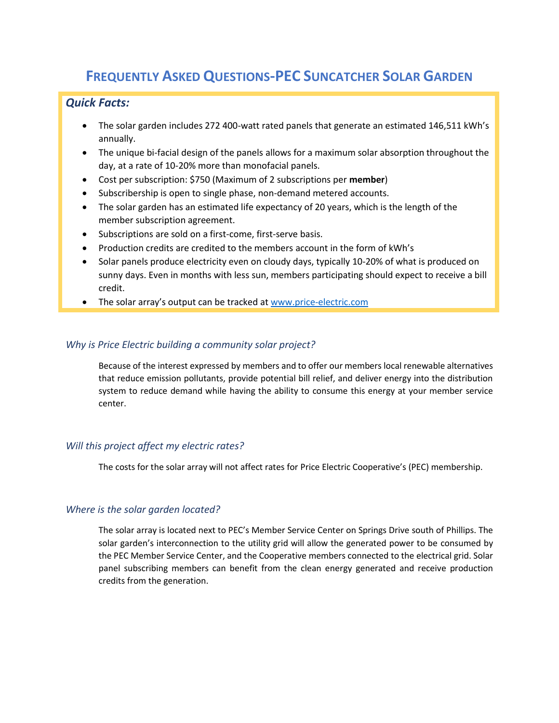# **FREQUENTLY ASKED QUESTIONS-PEC SUNCATCHER SOLAR GARDEN**

# *Quick Facts:*

- The solar garden includes 272 400-watt rated panels that generate an estimated 146,511 kWh's annually.
- The unique bi-facial design of the panels allows for a maximum solar absorption throughout the day, at a rate of 10-20% more than monofacial panels.
- Cost per subscription: \$750 (Maximum of 2 subscriptions per **member**)
- Subscribership is open to single phase, non-demand metered accounts.
- The solar garden has an estimated life expectancy of 20 years, which is the length of the member subscription agreement.
- Subscriptions are sold on a first-come, first-serve basis.
- Production credits are credited to the members account in the form of kWh's
- Solar panels produce electricity even on cloudy days, typically 10-20% of what is produced on sunny days. Even in months with less sun, members participating should expect to receive a bill credit.
- The solar array's output can be tracked at [www.price-electric.com](http://www.price-electric.com/)

#### *Why is Price Electric building a community solar project?*

Because of the interest expressed by members and to offer our members local renewable alternatives that reduce emission pollutants, provide potential bill relief, and deliver energy into the distribution system to reduce demand while having the ability to consume this energy at your member service center.

#### *Will this project affect my electric rates?*

The costs for the solar array will not affect rates for Price Electric Cooperative's (PEC) membership.

#### *Where is the solar garden located?*

The solar array is located next to PEC's Member Service Center on Springs Drive south of Phillips. The solar garden's interconnection to the utility grid will allow the generated power to be consumed by the PEC Member Service Center, and the Cooperative members connected to the electrical grid. Solar panel subscribing members can benefit from the clean energy generated and receive production credits from the generation.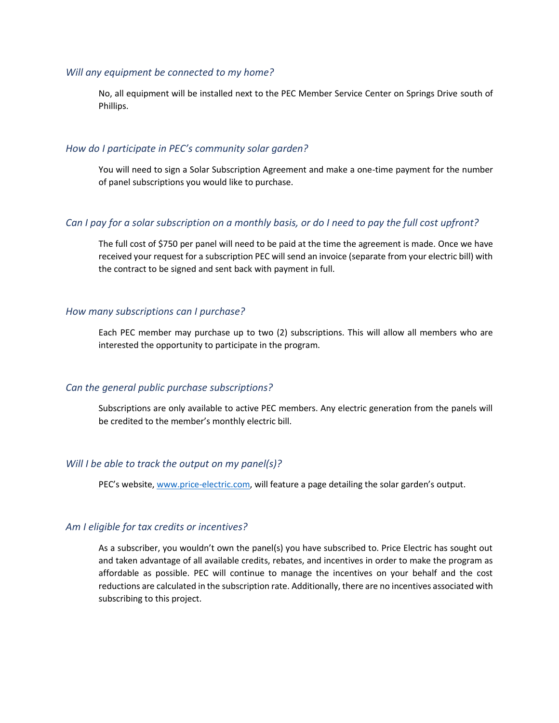#### *Will any equipment be connected to my home?*

No, all equipment will be installed next to the PEC Member Service Center on Springs Drive south of Phillips.

# *How do I participate in PEC's community solar garden?*

You will need to sign a Solar Subscription Agreement and make a one-time payment for the number of panel subscriptions you would like to purchase.

# *Can I pay for a solar subscription on a monthly basis, or do I need to pay the full cost upfront?*

The full cost of \$750 per panel will need to be paid at the time the agreement is made. Once we have received your request for a subscription PEC will send an invoice (separate from your electric bill) with the contract to be signed and sent back with payment in full.

# *How many subscriptions can I purchase?*

Each PEC member may purchase up to two (2) subscriptions. This will allow all members who are interested the opportunity to participate in the program.

#### *Can the general public purchase subscriptions?*

Subscriptions are only available to active PEC members. Any electric generation from the panels will be credited to the member's monthly electric bill.

#### *Will I be able to track the output on my panel(s)?*

PEC's website, [www.price-electric.com,](http://www.price-electric.com/) will feature a page detailing the solar garden's output.

#### *Am I eligible for tax credits or incentives?*

As a subscriber, you wouldn't own the panel(s) you have subscribed to. Price Electric has sought out and taken advantage of all available credits, rebates, and incentives in order to make the program as affordable as possible. PEC will continue to manage the incentives on your behalf and the cost reductions are calculated in the subscription rate. Additionally, there are no incentives associated with subscribing to this project.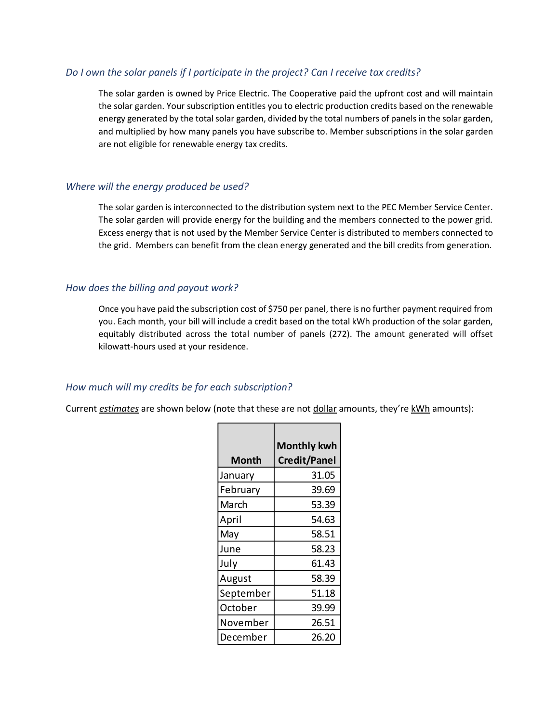### *Do I own the solar panels if I participate in the project? Can I receive tax credits?*

The solar garden is owned by Price Electric. The Cooperative paid the upfront cost and will maintain the solar garden. Your subscription entitles you to electric production credits based on the renewable energy generated by the total solar garden, divided by the total numbers of panels in the solar garden, and multiplied by how many panels you have subscribe to. Member subscriptions in the solar garden are not eligible for renewable energy tax credits.

#### *Where will the energy produced be used?*

The solar garden is interconnected to the distribution system next to the PEC Member Service Center. The solar garden will provide energy for the building and the members connected to the power grid. Excess energy that is not used by the Member Service Center is distributed to members connected to the grid. Members can benefit from the clean energy generated and the bill credits from generation.

#### *How does the billing and payout work?*

Once you have paid the subscription cost of \$750 per panel, there is no further payment required from you. Each month, your bill will include a credit based on the total kWh production of the solar garden, equitably distributed across the total number of panels (272). The amount generated will offset kilowatt-hours used at your residence.

#### *How much will my credits be for each subscription?*

Current *estimates* are shown below (note that these are not dollar amounts, they're kWh amounts):

|           | <b>Monthly kwh</b>  |
|-----------|---------------------|
| Month     | <b>Credit/Panel</b> |
| January   | 31.05               |
| February  | 39.69               |
| March     | 53.39               |
| April     | 54.63               |
| May       | 58.51               |
| June      | 58.23               |
| July      | 61.43               |
| August    | 58.39               |
| September | 51.18               |
| October   | 39.99               |
| November  | 26.51               |
| December  | 26.20               |